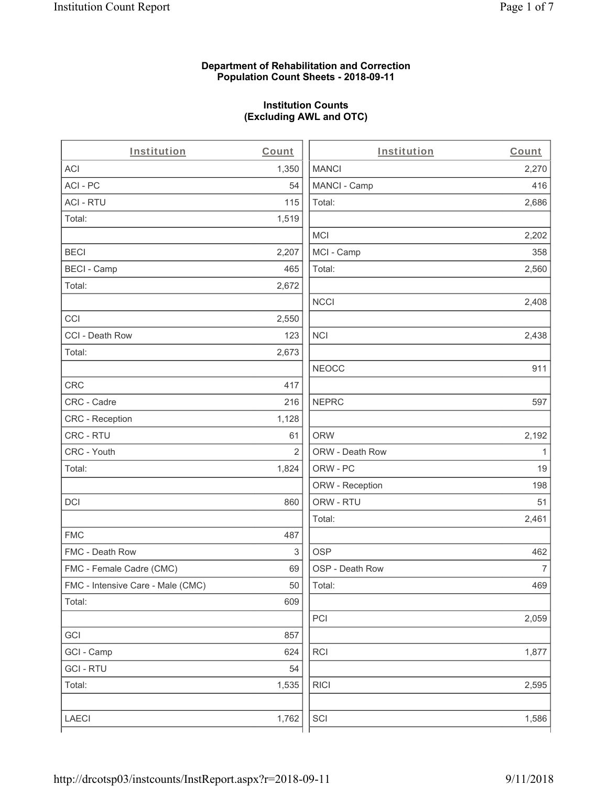### **Department of Rehabilitation and Correction Population Count Sheets - 2018-09-11**

# **Institution Counts (Excluding AWL and OTC)**

 $\overline{a}$ .

| Institution                       | Count          | Institution     | Count        |
|-----------------------------------|----------------|-----------------|--------------|
| ACI                               | 1,350          | <b>MANCI</b>    | 2,270        |
| ACI-PC                            | 54             | MANCI - Camp    | 416          |
| <b>ACI - RTU</b>                  | 115            | Total:          | 2,686        |
| Total:                            | 1,519          |                 |              |
|                                   |                | <b>MCI</b>      | 2,202        |
| <b>BECI</b>                       | 2,207          | MCI - Camp      | 358          |
| <b>BECI - Camp</b>                | 465            | Total:          | 2,560        |
| Total:                            | 2,672          |                 |              |
|                                   |                | <b>NCCI</b>     | 2,408        |
| CCI                               | 2,550          |                 |              |
| CCI - Death Row                   | 123            | <b>NCI</b>      | 2,438        |
| Total:                            | 2,673          |                 |              |
|                                   |                | <b>NEOCC</b>    | 911          |
| <b>CRC</b>                        | 417            |                 |              |
| CRC - Cadre                       | 216            | <b>NEPRC</b>    | 597          |
| CRC - Reception                   | 1,128          |                 |              |
| CRC - RTU                         | 61             | <b>ORW</b>      | 2,192        |
| CRC - Youth                       | $\overline{2}$ | ORW - Death Row | $\mathbf{1}$ |
| Total:                            | 1,824          | ORW - PC        | 19           |
|                                   |                | ORW - Reception | 198          |
| DCI                               | 860            | ORW - RTU       | 51           |
|                                   |                | Total:          | 2,461        |
| <b>FMC</b>                        | 487            |                 |              |
| FMC - Death Row                   | 3              | <b>OSP</b>      | 462          |
| FMC - Female Cadre (CMC)          | 69             | OSP - Death Row | 7            |
| FMC - Intensive Care - Male (CMC) | 50             | Total:          | 469          |
| Total:                            | 609            |                 |              |
|                                   |                | PCI             | 2,059        |
| GCI                               | 857            |                 |              |
| GCI - Camp                        | 624            | RCI             | 1,877        |
| <b>GCI - RTU</b>                  | 54             |                 |              |
| Total:                            | 1,535          | <b>RICI</b>     | 2,595        |
|                                   |                |                 |              |
| LAECI                             | 1,762          | SCI             | 1,586        |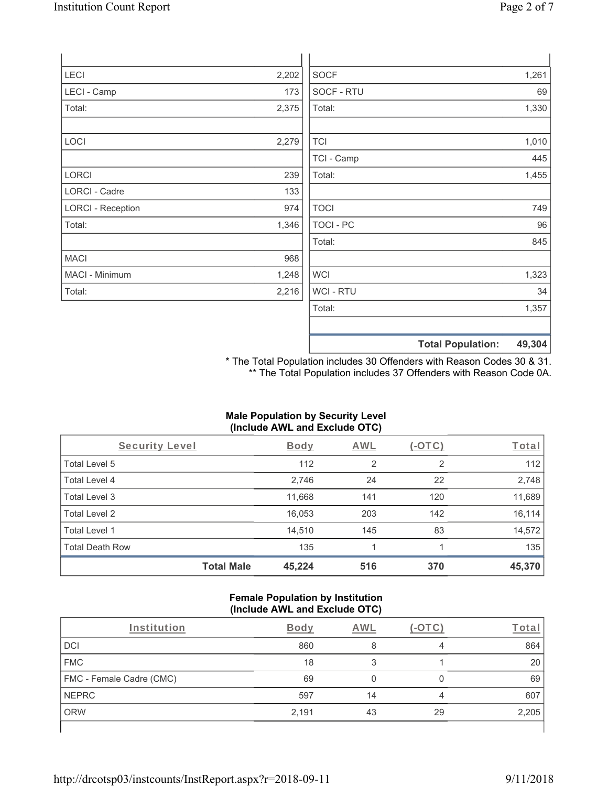| LECI                     | 2,202 | <b>SOCF</b>      |                          | 1,261  |
|--------------------------|-------|------------------|--------------------------|--------|
| LECI - Camp              | 173   | SOCF - RTU       |                          | 69     |
| Total:                   | 2,375 | Total:           |                          | 1,330  |
|                          |       |                  |                          |        |
| LOCI                     | 2,279 | <b>TCI</b>       |                          | 1,010  |
|                          |       | TCI - Camp       |                          | 445    |
| LORCI                    | 239   | Total:           |                          | 1,455  |
| LORCI - Cadre            | 133   |                  |                          |        |
| <b>LORCI - Reception</b> | 974   | <b>TOCI</b>      |                          | 749    |
| Total:                   | 1,346 | <b>TOCI - PC</b> |                          | 96     |
|                          |       | Total:           |                          | 845    |
| <b>MACI</b>              | 968   |                  |                          |        |
| MACI - Minimum           | 1,248 | <b>WCI</b>       |                          | 1,323  |
| Total:                   | 2,216 | WCI - RTU        |                          | 34     |
|                          |       | Total:           |                          | 1,357  |
|                          |       |                  |                          |        |
|                          |       |                  | <b>Total Population:</b> | 49,304 |

\* The Total Population includes 30 Offenders with Reason Codes 30 & 31. \*\* The Total Population includes 37 Offenders with Reason Code 0A.

### **Male Population by Security Level (Include AWL and Exclude OTC)**

| Security Level         |                   | <b>Body</b> | <b>AWL</b>     | (-OTC) | Total  |
|------------------------|-------------------|-------------|----------------|--------|--------|
| Total Level 5          |                   | 112         | $\overline{2}$ | 2      | 112    |
| Total Level 4          |                   | 2,746       | 24             | 22     | 2,748  |
| Total Level 3          |                   | 11,668      | 141            | 120    | 11,689 |
| Total Level 2          |                   | 16,053      | 203            | 142    | 16,114 |
| Total Level 1          |                   | 14,510      | 145            | 83     | 14,572 |
| <b>Total Death Row</b> |                   | 135         |                |        | 135    |
|                        | <b>Total Male</b> | 45,224      | 516            | 370    | 45,370 |

#### **Female Population by Institution (Include AWL and Exclude OTC)**

| Institution              | Bodv  | AWL |    | ⊺ota  |
|--------------------------|-------|-----|----|-------|
| DCI                      | 860   |     | 4  | 864   |
| <b>FMC</b>               | 18    |     |    | 20    |
| FMC - Female Cadre (CMC) | 69    |     |    | 69    |
| <b>NEPRC</b>             | 597   | 14  |    | 607   |
| <b>ORW</b>               | 2,191 | 43  | 29 | 2,205 |
|                          |       |     |    |       |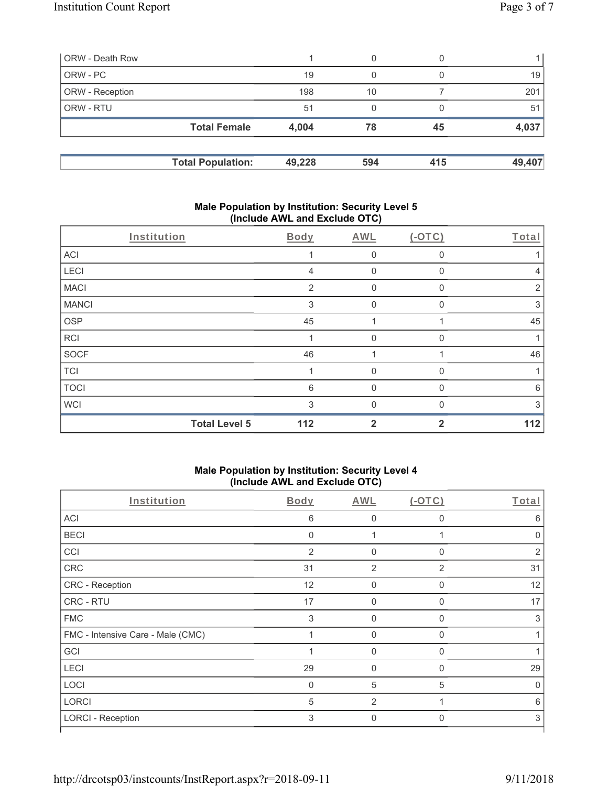| ORW - Death Row        |                          |        | 0   |     |        |
|------------------------|--------------------------|--------|-----|-----|--------|
| ORW - PC               |                          | 19     | 0   |     | 19     |
| <b>ORW</b> - Reception |                          | 198    | 10  |     | 201    |
| <b>ORW - RTU</b>       |                          | 51     | 0   |     | 51     |
|                        | <b>Total Female</b>      | 4,004  | 78  | 45  | 4,037  |
|                        | <b>Total Population:</b> | 49,228 | 594 | 415 | 49,407 |

### **Male Population by Institution: Security Level 5 (Include AWL and Exclude OTC)**

|              | Institution          | Body | AWL            | $(-OTC)$     | Total |
|--------------|----------------------|------|----------------|--------------|-------|
| ACI          |                      |      | 0              | $\Omega$     |       |
| LECI         |                      | 4    | $\mathbf 0$    | 0            | 4     |
| <b>MACI</b>  |                      | 2    | 0              | 0            | 2     |
| <b>MANCI</b> |                      | 3    | 0              | $\Omega$     | 3     |
| <b>OSP</b>   |                      | 45   | 1              |              | 45    |
| <b>RCI</b>   |                      |      | 0              | $\Omega$     |       |
| SOCF         |                      | 46   |                |              | 46    |
| <b>TCI</b>   |                      |      | 0              | $\Omega$     | 1     |
| <b>TOCI</b>  |                      | 6    | $\Omega$       | $\mathbf{0}$ | 6     |
| <b>WCI</b>   |                      | 3    | $\Omega$       | $\Omega$     | 3     |
|              | <b>Total Level 5</b> | 112  | $\overline{2}$ | $\mathbf{2}$ | 112   |

### **Male Population by Institution: Security Level 4 (Include AWL and Exclude OTC)**

|                                   |                | ,              |              |                |
|-----------------------------------|----------------|----------------|--------------|----------------|
| Institution                       | <b>Body</b>    | <b>AWL</b>     | $($ -OTC $)$ | Total          |
| ACI                               | 6              | 0              | $\Omega$     | 6              |
| <b>BECI</b>                       | $\mathbf{0}$   |                |              | $\Omega$       |
| CCI                               | $\overline{2}$ | 0              | $\Omega$     | $\overline{2}$ |
| CRC                               | 31             | $\overline{2}$ | 2            | 31             |
| CRC - Reception                   | 12             | 0              | $\Omega$     | 12             |
| CRC - RTU                         | 17             | 0              | $\Omega$     | 17             |
| <b>FMC</b>                        | 3              | 0              | $\Omega$     | 3              |
| FMC - Intensive Care - Male (CMC) |                | 0              | $\Omega$     |                |
| GCI                               |                | 0              | $\Omega$     |                |
| LECI                              | 29             | 0              | $\Omega$     | 29             |
| LOCI                              | $\Omega$       | 5              | 5            | 0              |
| <b>LORCI</b>                      | 5              | $\overline{2}$ |              | 6              |
| <b>LORCI - Reception</b>          | 3              | $\mathbf 0$    | $\Omega$     | 3              |
|                                   |                |                |              |                |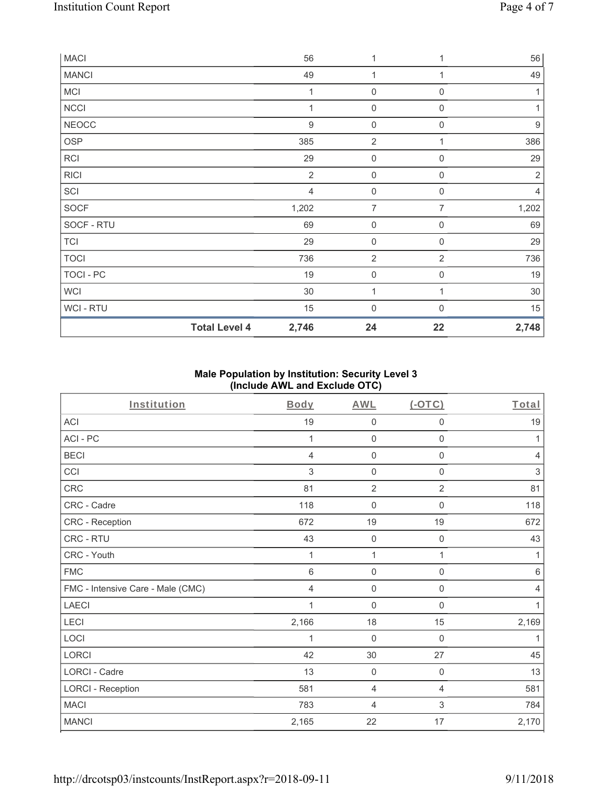| <b>MACI</b>  |                      | 56               | 1                   |                     | 56               |
|--------------|----------------------|------------------|---------------------|---------------------|------------------|
| <b>MANCI</b> |                      | 49               | 1                   | 1                   | 49               |
| <b>MCI</b>   |                      | 1                | 0                   | $\boldsymbol{0}$    | $\mathbf{1}$     |
| <b>NCCI</b>  |                      | 1                | $\mathsf{O}\xspace$ | $\overline{0}$      | 1                |
| <b>NEOCC</b> |                      | $\boldsymbol{9}$ | $\mathsf{O}\xspace$ | $\boldsymbol{0}$    | $\boldsymbol{9}$ |
| OSP          |                      | 385              | 2                   |                     | 386              |
| RCI          |                      | 29               | $\mathsf{O}\xspace$ | $\mathbf 0$         | 29               |
| <b>RICI</b>  |                      | $\overline{2}$   | $\mathsf{O}\xspace$ | $\mathbf 0$         | $\sqrt{2}$       |
| SCI          |                      | $\overline{4}$   | $\boldsymbol{0}$    | $\boldsymbol{0}$    | 4                |
| <b>SOCF</b>  |                      | 1,202            | $\overline{7}$      | 7                   | 1,202            |
| SOCF - RTU   |                      | 69               | $\mathbf 0$         | $\mathbf 0$         | 69               |
| <b>TCI</b>   |                      | 29               | $\mathsf{O}\xspace$ | $\mathbf 0$         | 29               |
| <b>TOCI</b>  |                      | 736              | $\sqrt{2}$          | $\overline{2}$      | 736              |
| TOCI - PC    |                      | 19               | $\mathsf{O}\xspace$ | $\mathsf{O}\xspace$ | 19               |
| <b>WCI</b>   |                      | 30               | 1                   | 1                   | 30               |
| WCI - RTU    |                      | 15               | $\boldsymbol{0}$    | $\Omega$            | 15               |
|              | <b>Total Level 4</b> | 2,746            | 24                  | 22                  | 2,748            |

## **Male Population by Institution: Security Level 3 (Include AWL and Exclude OTC)**

| Institution                       | Body  | <b>AWL</b>          | (OTC)                     | Total          |
|-----------------------------------|-------|---------------------|---------------------------|----------------|
| <b>ACI</b>                        | 19    | $\mathbf 0$         | $\mathbf 0$               | 19             |
| ACI-PC                            | 1     | $\mathbf 0$         | $\mathbf 0$               | 1              |
| <b>BECI</b>                       | 4     | $\mathsf{O}\xspace$ | 0                         | $\overline{4}$ |
| CCI                               | 3     | $\mathbf 0$         | $\mathbf 0$               | 3              |
| CRC                               | 81    | $\overline{2}$      | $\overline{2}$            | 81             |
| CRC - Cadre                       | 118   | $\mathbf 0$         | $\Omega$                  | 118            |
| CRC - Reception                   | 672   | 19                  | 19                        | 672            |
| CRC - RTU                         | 43    | $\mathbf 0$         | $\mathbf 0$               | 43             |
| CRC - Youth                       | 1     | 1                   | 1                         | 1              |
| <b>FMC</b>                        | 6     | $\mathsf{O}\xspace$ | $\mathsf{O}\xspace$       | 6              |
| FMC - Intensive Care - Male (CMC) | 4     | $\mathbf 0$         | $\boldsymbol{0}$          | $\overline{4}$ |
| <b>LAECI</b>                      |       | $\mathsf{O}\xspace$ | $\mathbf 0$               | 1              |
| LECI                              | 2,166 | 18                  | 15                        | 2,169          |
| LOCI                              | 1     | $\mathbf 0$         | 0                         | 1              |
| LORCI                             | 42    | $30\,$              | 27                        | 45             |
| <b>LORCI - Cadre</b>              | 13    | $\mathbf 0$         | $\mathbf 0$               | 13             |
| <b>LORCI - Reception</b>          | 581   | 4                   | $\overline{4}$            | 581            |
| <b>MACI</b>                       | 783   | 4                   | $\ensuremath{\mathsf{3}}$ | 784            |
| <b>MANCI</b>                      | 2,165 | 22                  | 17                        | 2,170          |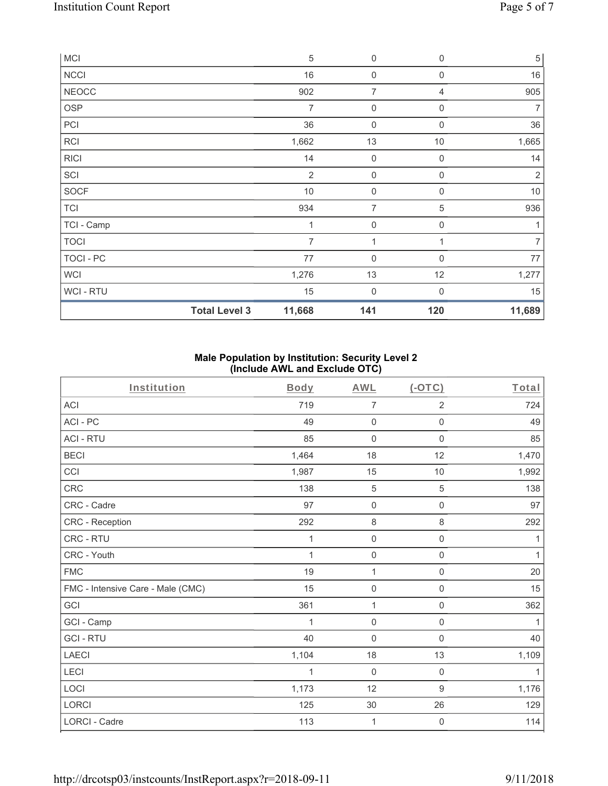| MCI            |                      | $\sqrt{5}$     | $\boldsymbol{0}$    | $\mathbf 0$      | $\,$ 5 $\,$    |
|----------------|----------------------|----------------|---------------------|------------------|----------------|
| <b>NCCI</b>    |                      | 16             | $\mathsf 0$         | $\boldsymbol{0}$ | 16             |
| <b>NEOCC</b>   |                      | 902            | $\overline{7}$      | 4                | 905            |
| <b>OSP</b>     |                      | 7              | $\mathsf{O}\xspace$ | $\mathbf 0$      | 7              |
| PCI            |                      | 36             | $\boldsymbol{0}$    | $\mathbf 0$      | 36             |
| <b>RCI</b>     |                      | 1,662          | 13                  | $10$             | 1,665          |
| <b>RICI</b>    |                      | 14             | $\mathsf{O}\xspace$ | $\overline{0}$   | 14             |
| SCI            |                      | $\overline{2}$ | $\mathsf{O}\xspace$ | $\mathbf 0$      | $\overline{2}$ |
| <b>SOCF</b>    |                      | $10$           | 0                   | $\Omega$         | $10$           |
| <b>TCI</b>     |                      | 934            | $\overline{7}$      | $\mathbf 5$      | 936            |
| TCI - Camp     |                      | 1              | $\boldsymbol{0}$    | $\mathbf 0$      | 1              |
| <b>TOCI</b>    |                      | 7              | $\mathbf 1$         |                  | $\overline{7}$ |
| TOCI - PC      |                      | 77             | 0                   | 0                | 77             |
| <b>WCI</b>     |                      | 1,276          | 13                  | 12               | 1,277          |
| <b>WCI-RTU</b> |                      | 15             | 0                   | $\Omega$         | 15             |
|                | <b>Total Level 3</b> | 11,668         | 141                 | 120              | 11,689         |

## **Male Population by Institution: Security Level 2 (Include AWL and Exclude OTC)**

| Institution                       | <b>Body</b> | <b>AWL</b>          | $(-OTC)$            | Total        |
|-----------------------------------|-------------|---------------------|---------------------|--------------|
| <b>ACI</b>                        | 719         | $\overline{7}$      | $\overline{2}$      | 724          |
| ACI-PC                            | 49          | $\mathbf 0$         | $\mathsf 0$         | 49           |
| <b>ACI - RTU</b>                  | 85          | $\boldsymbol{0}$    | $\boldsymbol{0}$    | 85           |
| <b>BECI</b>                       | 1,464       | 18                  | 12                  | 1,470        |
| CCI                               | 1,987       | 15                  | 10                  | 1,992        |
| CRC                               | 138         | $\sqrt{5}$          | $\,$ 5 $\,$         | 138          |
| CRC - Cadre                       | 97          | $\mathbf 0$         | $\boldsymbol{0}$    | 97           |
| CRC - Reception                   | 292         | 8                   | $\,8\,$             | 292          |
| CRC - RTU                         | 1           | $\mathbf 0$         | $\mathsf{O}\xspace$ | 1            |
| CRC - Youth                       | 1           | $\mathsf{O}\xspace$ | $\mathsf{O}\xspace$ | $\mathbf{1}$ |
| <b>FMC</b>                        | 19          | 1                   | $\mathbf 0$         | 20           |
| FMC - Intensive Care - Male (CMC) | 15          | $\mathbf 0$         | $\mathbf 0$         | 15           |
| GCI                               | 361         | 1                   | $\mathbf 0$         | 362          |
| GCI - Camp                        | 1           | $\mathbf 0$         | $\mathbf 0$         | 1            |
| <b>GCI-RTU</b>                    | 40          | $\mathbf 0$         | $\mathsf{O}\xspace$ | 40           |
| LAECI                             | 1,104       | 18                  | 13                  | 1,109        |
| LECI                              | 1           | $\mathbf 0$         | $\mathsf{O}\xspace$ | 1            |
| LOCI                              | 1,173       | 12                  | $\boldsymbol{9}$    | 1,176        |
| LORCI                             | 125         | $30\,$              | 26                  | 129          |
| <b>LORCI - Cadre</b>              | 113         | 1                   | $\boldsymbol{0}$    | 114          |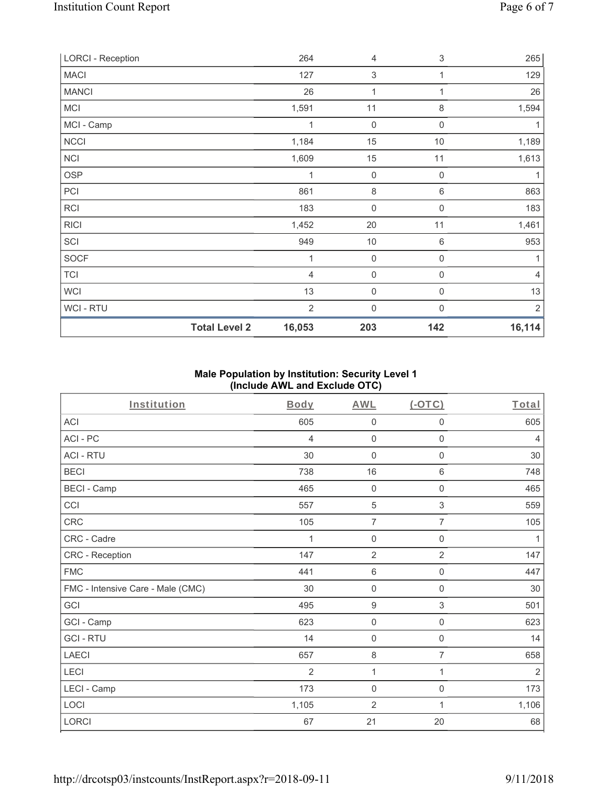| <b>LORCI - Reception</b> |                      | 264            | 4                         | 3                | 265            |
|--------------------------|----------------------|----------------|---------------------------|------------------|----------------|
| <b>MACI</b>              |                      | 127            | $\ensuremath{\mathsf{3}}$ | 1                | 129            |
| <b>MANCI</b>             |                      | 26             | 1                         | 1                | 26             |
| <b>MCI</b>               |                      | 1,591          | 11                        | $\,8\,$          | 1,594          |
| MCI - Camp               |                      | 1              | $\mathbf 0$               | 0                | 1              |
| NCCI                     |                      | 1,184          | 15                        | $10$             | 1,189          |
| NCI                      |                      | 1,609          | 15                        | 11               | 1,613          |
| <b>OSP</b>               |                      | 1              | $\mathbf 0$               | 0                | 1              |
| PCI                      |                      | 861            | $\,8\,$                   | 6                | 863            |
| <b>RCI</b>               |                      | 183            | $\mathbf 0$               | $\mathbf 0$      | 183            |
| <b>RICI</b>              |                      | 1,452          | $20\,$                    | 11               | 1,461          |
| SCI                      |                      | 949            | $10$                      | 6                | 953            |
| SOCF                     |                      | 1              | $\mathbf 0$               | $\boldsymbol{0}$ | 1              |
| <b>TCI</b>               |                      | $\overline{4}$ | 0                         | $\boldsymbol{0}$ | $\overline{4}$ |
| <b>WCI</b>               |                      | 13             | $\mathbf 0$               | 0                | 13             |
| WCI - RTU                |                      | $\overline{2}$ | 0                         | $\mathbf{0}$     | $\sqrt{2}$     |
|                          | <b>Total Level 2</b> | 16,053         | 203                       | 142              | 16,114         |

## **Male Population by Institution: Security Level 1 (Include AWL and Exclude OTC)**

| Institution                       | <b>Body</b>    | <b>AWL</b>          | (OTC)               | Total          |
|-----------------------------------|----------------|---------------------|---------------------|----------------|
| <b>ACI</b>                        | 605            | $\mathbf 0$         | 0                   | 605            |
| ACI-PC                            | 4              | $\mathbf 0$         | 0                   | $\overline{4}$ |
| <b>ACI - RTU</b>                  | 30             | $\mathbf 0$         | $\mathbf 0$         | 30             |
| <b>BECI</b>                       | 738            | 16                  | 6                   | 748            |
| <b>BECI - Camp</b>                | 465            | $\mathbf 0$         | $\mathbf 0$         | 465            |
| CCI                               | 557            | 5                   | 3                   | 559            |
| <b>CRC</b>                        | 105            | $\overline{7}$      | $\overline{7}$      | 105            |
| CRC - Cadre                       | 1              | $\mathbf 0$         | $\mathbf 0$         | 1              |
| CRC - Reception                   | 147            | $\overline{2}$      | $\overline{2}$      | 147            |
| <b>FMC</b>                        | 441            | $\,6\,$             | $\mathsf{O}\xspace$ | 447            |
| FMC - Intensive Care - Male (CMC) | 30             | $\mathbf 0$         | 0                   | 30             |
| GCI                               | 495            | $\boldsymbol{9}$    | 3                   | 501            |
| GCI - Camp                        | 623            | 0                   | $\mathsf{O}\xspace$ | 623            |
| <b>GCI-RTU</b>                    | 14             | $\mathbf 0$         | $\mathbf 0$         | 14             |
| <b>LAECI</b>                      | 657            | $\,8\,$             | $\overline{7}$      | 658            |
| LECI                              | $\overline{2}$ | $\mathbf{1}$        | $\mathbf{1}$        | $\overline{2}$ |
| LECI - Camp                       | 173            | $\mathsf{O}\xspace$ | $\mathsf{O}\xspace$ | 173            |
| LOCI                              | 1,105          | $\sqrt{2}$          | 1                   | 1,106          |
| LORCI                             | 67             | 21                  | 20                  | 68             |